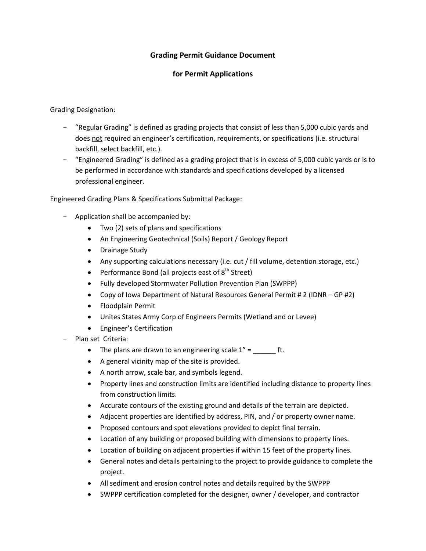## **Grading Permit Guidance Document**

## **for Permit Applications**

Grading Designation:

- "Regular Grading" is defined as grading projects that consist of less than 5,000 cubic yards and does not required an engineer's certification, requirements, or specifications (i.e. structural backfill, select backfill, etc.).
- "Engineered Grading" is defined as a grading project that is in excess of 5,000 cubic yards or is to be performed in accordance with standards and specifications developed by a licensed professional engineer.

Engineered Grading Plans & Specifications Submittal Package:

- Application shall be accompanied by:
	- Two (2) sets of plans and specifications
	- An Engineering Geotechnical (Soils) Report / Geology Report
	- Drainage Study
	- Any supporting calculations necessary (i.e. cut / fill volume, detention storage, etc.)
	- Performance Bond (all projects east of  $8<sup>th</sup>$  Street)
	- Fully developed Stormwater Pollution Prevention Plan (SWPPP)
	- Copy of Iowa Department of Natural Resources General Permit # 2 (IDNR GP #2)
	- Floodplain Permit
	- Unites States Army Corp of Engineers Permits (Wetland and or Levee)
	- Engineer's Certification
- Plan set Criteria:
	- The plans are drawn to an engineering scale  $1'' =$  \_\_\_\_\_\_\_\_\_ ft.
	- A general vicinity map of the site is provided.
	- A north arrow, scale bar, and symbols legend.
	- Property lines and construction limits are identified including distance to property lines from construction limits.
	- Accurate contours of the existing ground and details of the terrain are depicted.
	- Adjacent properties are identified by address, PIN, and / or property owner name.
	- Proposed contours and spot elevations provided to depict final terrain.
	- Location of any building or proposed building with dimensions to property lines.
	- Location of building on adjacent properties if within 15 feet of the property lines.
	- General notes and details pertaining to the project to provide guidance to complete the project.
	- All sediment and erosion control notes and details required by the SWPPP
	- SWPPP certification completed for the designer, owner / developer, and contractor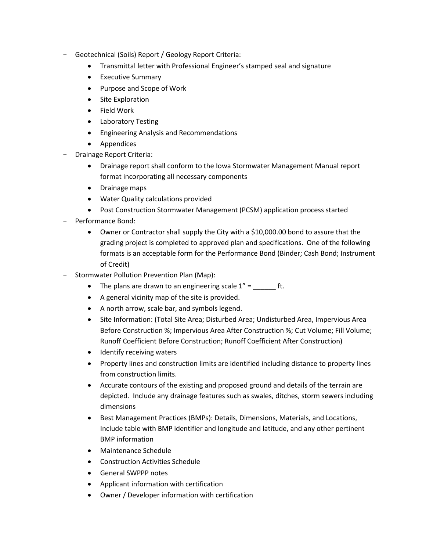- Geotechnical (Soils) Report / Geology Report Criteria:
	- Transmittal letter with Professional Engineer's stamped seal and signature
	- Executive Summary
	- Purpose and Scope of Work
	- Site Exploration
	- Field Work
	- Laboratory Testing
	- Engineering Analysis and Recommendations
	- Appendices
- Drainage Report Criteria:
	- Drainage report shall conform to the Iowa Stormwater Management Manual report format incorporating all necessary components
	- Drainage maps
	- Water Quality calculations provided
	- Post Construction Stormwater Management (PCSM) application process started
- Performance Bond:
	- Owner or Contractor shall supply the City with a \$10,000.00 bond to assure that the grading project is completed to approved plan and specifications. One of the following formats is an acceptable form for the Performance Bond (Binder; Cash Bond; Instrument of Credit)
- Stormwater Pollution Prevention Plan (Map):
	- The plans are drawn to an engineering scale  $1'' =$  \_\_\_\_\_\_\_\_ ft.
	- A general vicinity map of the site is provided.
	- A north arrow, scale bar, and symbols legend.
	- Site Information: (Total Site Area; Disturbed Area; Undisturbed Area, Impervious Area Before Construction %; Impervious Area After Construction %; Cut Volume; Fill Volume; Runoff Coefficient Before Construction; Runoff Coefficient After Construction)
	- Identify receiving waters
	- Property lines and construction limits are identified including distance to property lines from construction limits.
	- Accurate contours of the existing and proposed ground and details of the terrain are depicted. Include any drainage features such as swales, ditches, storm sewers including dimensions
	- **Best Management Practices (BMPs): Details, Dimensions, Materials, and Locations,** Include table with BMP identifier and longitude and latitude, and any other pertinent BMP information
	- Maintenance Schedule
	- Construction Activities Schedule
	- General SWPPP notes
	- Applicant information with certification
	- Owner / Developer information with certification